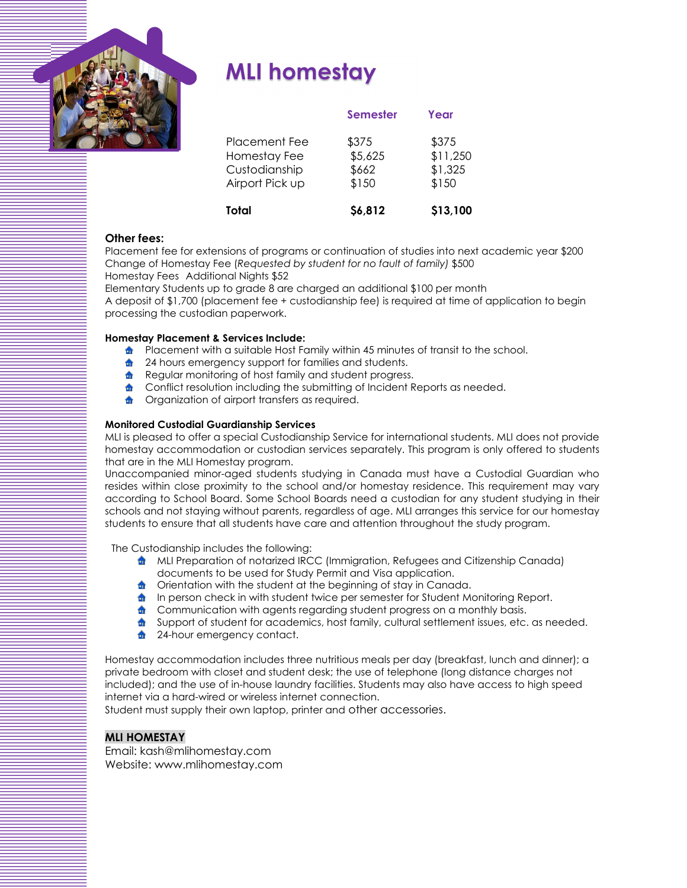

# **MLI homestay**

| Total                                                             | \$6,812                            | \$13,100                              |
|-------------------------------------------------------------------|------------------------------------|---------------------------------------|
| Placement Fee<br>Homestay Fee<br>Custodianship<br>Airport Pick up | \$375<br>\$5,625<br>\$662<br>\$150 | \$375<br>\$11,250<br>\$1,325<br>\$150 |
|                                                                   | <b>Semester</b>                    | Year                                  |

## **Other fees:**

Placement fee for extensions of programs or continuation of studies into next academic year \$200 Change of Homestay Fee (*Requested by student for no fault of family)* \$500 Homestay Fees Additional Nights \$52

Elementary Students up to grade 8 are charged an additional \$100 per month A deposit of \$1,700 (placement fee + custodianship fee) is required at time of application to begin processing the custodian paperwork.

## **Homestay Placement & Services Include:**

- **h** Placement with a suitable Host Family within 45 minutes of transit to the school.
- 24 hours emergency support for families and students. 命
- 命 Regular monitoring of host family and student progress.
- Conflict resolution including the submitting of Incident Reports as needed.  $\bullet$
- Organization of airport transfers as required.

### **Monitored Custodial Guardianship Services**

MLI is pleased to offer a special Custodianship Service for international students. MLI does not provide homestay accommodation or custodian services separately. This program is only offered to students that are in the MLI Homestay program.

Unaccompanied minor-aged students studying in Canada must have a Custodial Guardian who resides within close proximity to the school and/or homestay residence. This requirement may vary according to School Board. Some School Boards need a custodian for any student studying in their schools and not staying without parents, regardless of age. MLI arranges this service for our homestay students to ensure that all students have care and attention throughout the study program.

The Custodianship includes the following:

- **A** MLI Preparation of notarized IRCC (Immigration, Refugees and Citizenship Canada) documents to be used for Study Permit and Visa application.
- **The Studies of Student at the beginning of stay in Canada.**
- $\bullet$  In person check in with student twice per semester for Student Monitoring Report.
- **formally communication with agents regarding student progress on a monthly basis.**
- **form** Support of student for academics, host family, cultural settlement issues, etc. as needed.
- **1** 24-hour emergency contact.

Homestay accommodation includes three nutritious meals per day (breakfast, lunch and dinner); a private bedroom with closet and student desk; the use of telephone (long distance charges not included); and the use of in-house laundry facilities. Students may also have access to high speed internet via a hard-wired or wireless internet connection.

Student must supply their own laptop, printer and other accessories.

# **MLI HOMESTAY**

Email: kash@mlihomestay.com Website: www.mlihomestay.com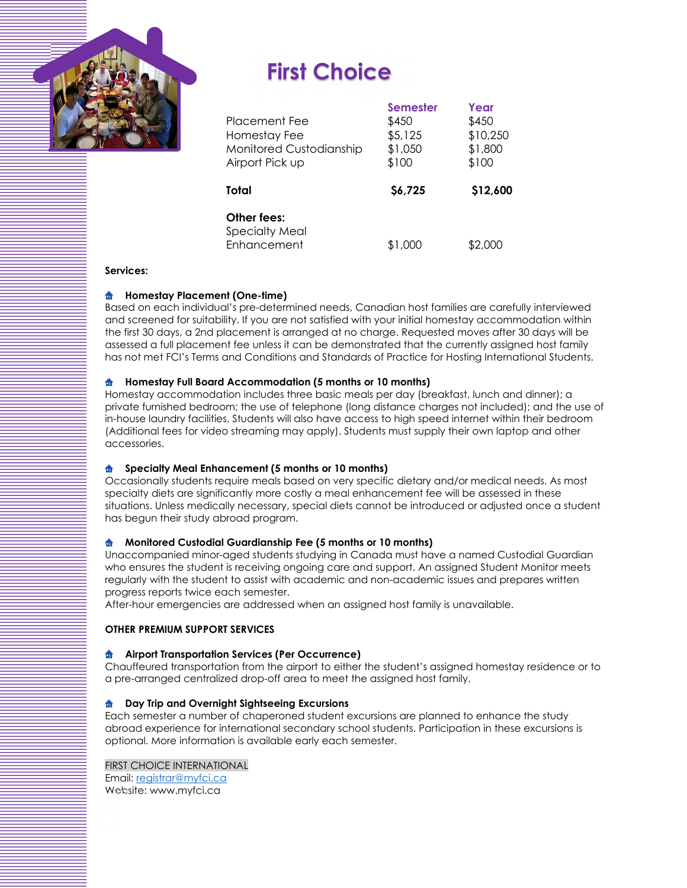

# **First Choice**

| <b>Placement Fee</b><br>Homestay Fee<br>Monitored Custodianship<br>Airport Pick up | <b>Semester</b><br>\$450<br>\$5,125<br>\$1,050<br>\$100 | Year<br>\$450<br>\$10,250<br>\$1,800<br>\$100 |
|------------------------------------------------------------------------------------|---------------------------------------------------------|-----------------------------------------------|
| Total                                                                              | \$6,725                                                 | \$12,600                                      |
| Other fees:<br><b>Specialty Meal</b><br>Enhancement                                | \$1,000                                                 | \$2,000                                       |

### **Services:**

## **A** Homestay Placement (One-time)

Based on each individual's pre-determined needs, Canadian host families are carefully interviewed and screened for suitability. If you are not satisfied with your initial homestay accommodation within the first 30 days, a 2nd placement is arranged at no charge. Requested moves after 30 days will be assessed a full placement fee unless it can be demonstrated that the currently assigned host family has not met FCI's Terms and Conditions and Standards of Practice for Hosting International Students.

#### **Homestay Full Board Accommodation (5 months or 10 months)**  命

Homestay accommodation includes three basic meals per day (breakfast, lunch and dinner); a private furnished bedroom; the use of telephone (long distance charges not included); and the use of in-house laundry facilities. Students will also have access to high speed internet within their bedroom (Additional fees for video streaming may apply). Students must supply their own laptop and other accessories.

#### **Specialty Meal Enhancement (5 months or 10 months)**  命

Occasionally students require meals based on very specific dietary and/or medical needs. As most specialty diets are significantly more costly a meal enhancement fee will be assessed in these situations. Unless medically necessary, special diets cannot be introduced or adjusted once a student has begun their study abroad program.

#### **Monitored Custodial Guardianship Fee (5 months or 10 months)**  命

Unaccompanied minor-aged students studying in Canada must have a named Custodial Guardian who ensures the student is receiving ongoing care and support. An assigned Student Monitor meets regularly with the student to assist with academic and non-academic issues and prepares written progress reports twice each semester.

After-hour emergencies are addressed when an assigned host family is unavailable.

### **OTHER PREMIUM SUPPORT SERVICES**

### **Airport Transportation Services (Per Occurrence)**

Chauffeured transportation from the airport to either the student's assigned homestay residence or to a pre-arranged centralized drop-off area to meet the assigned host family.

#### **Day Trip and Overnight Sightseeing Excursions**  命

Each semester a number of chaperoned student excursions are planned to enhance the study abroad experience for international secondary school students. Participation in these excursions is optional. More information is available early each semester.

### FIRST CHOICE INTERNATIONAL

Email: registrar@myfci.ca Website: www.myfci.ca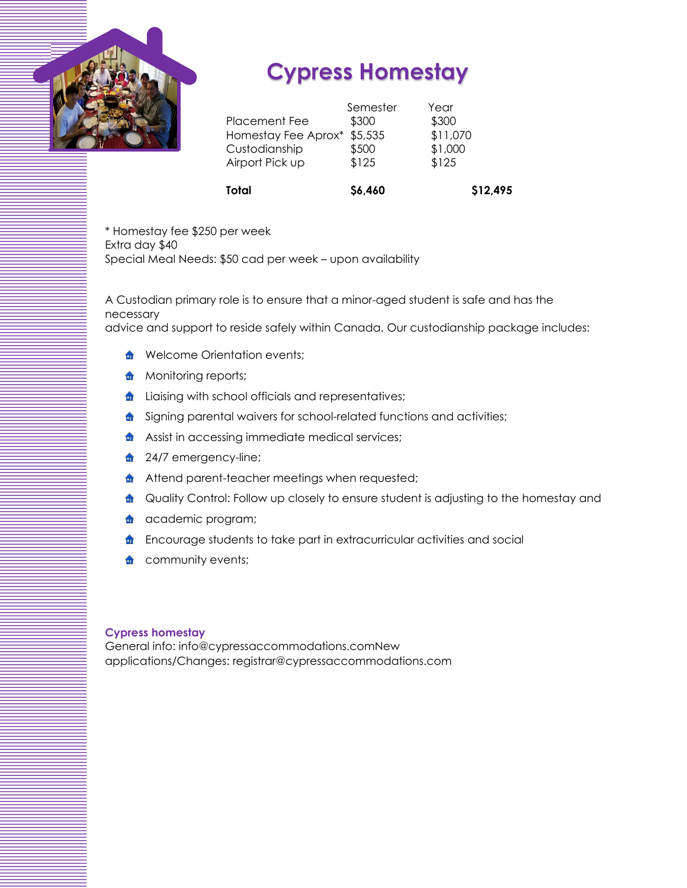

# **Cypress Homestay**

| Total                | \$6,460  | \$12,495 |  |
|----------------------|----------|----------|--|
| Airport Pick up      | \$125    | \$125    |  |
| Custodianship        | \$500    | \$1,000  |  |
| Homestay Fee Aprox*  | \$5,535  | \$11,070 |  |
| <b>Placement Fee</b> | \$300    | \$300    |  |
|                      | Semester | Year     |  |

\* Homestay fee \$250 per week Extra day \$40 Special Meal Needs: \$50 cad per week – upon availability

A Custodian primary role is to ensure that a minor-aged student is safe and has the necessary advice and support to reside safely within Canada. Our custodianship package includes:

- - **formally** Welcome Orientation events;
	- **A** Monitoring reports;
	- **form** Liaising with school officials and representatives;
	- signing parental waivers for school-related functions and activities;
	- **Assist in accessing immediate medical services;**
	- **1** 24/7 emergency-line;
	- **Attend parent-teacher meetings when requested;**
	- **n** Quality Control: Follow up closely to ensure student is adjusting to the homestay and
	- **a** academic program;
	- **f** Encourage students to take part in extracurricular activities and social
	- **n** community events;

## **Cypress homestay**

General info: info@cypressaccommodations.comNew applications/Changes: registrar@cypressaccommodations.com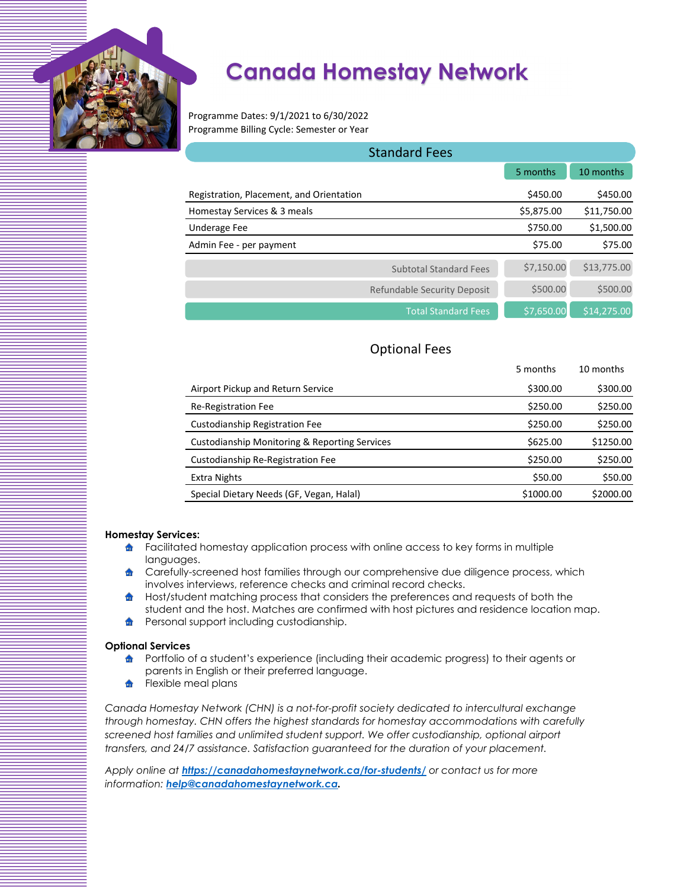

# **Canada Homestay Network**

Programme Dates: 9/1/2021 to 6/30/2022 Programme Billing Cycle: Semester or Year

| <b>Standard Fees</b>                     |            |             |  |
|------------------------------------------|------------|-------------|--|
|                                          | 5 months   | 10 months   |  |
| Registration, Placement, and Orientation | \$450.00   | \$450.00    |  |
| Homestay Services & 3 meals              | \$5,875.00 | \$11,750.00 |  |
| Underage Fee                             | \$750.00   | \$1,500.00  |  |
| Admin Fee - per payment                  | \$75.00    | \$75.00     |  |
| <b>Subtotal Standard Fees</b>            | \$7,150.00 | \$13,775.00 |  |
| Refundable Security Deposit              | \$500.00   | \$500.00    |  |
| <b>Total Standard Fees</b>               | \$7,650.00 | \$14,275.00 |  |

# Optional Fees

|                                                          | 5 months  | 10 months |
|----------------------------------------------------------|-----------|-----------|
| Airport Pickup and Return Service                        | \$300.00  | \$300.00  |
| Re-Registration Fee                                      | \$250.00  | \$250.00  |
| Custodianship Registration Fee                           | \$250.00  | \$250.00  |
| <b>Custodianship Monitoring &amp; Reporting Services</b> | \$625.00  | \$1250.00 |
| Custodianship Re-Registration Fee                        | \$250.00  | \$250.00  |
| Extra Nights                                             | \$50.00   | \$50.00   |
| Special Dietary Needs (GF, Vegan, Halal)                 | \$1000.00 | \$2000.00 |

## **Homestay Services:**

- $\triangle$  Facilitated homestay application process with online access to key forms in multiple languages.
- **form** Carefully-screened host families through our comprehensive due diligence process, which involves interviews, reference checks and criminal record checks.
- $\bullet$ Host/student matching process that considers the preferences and requests of both the student and the host. Matches are confirmed with host pictures and residence location map.
- 命 Personal support including custodianship.

### **Optional Services**

- **h** Portfolio of a student's experience (including their academic progress) to their agents or parents in English or their preferred language.
- **f** Flexible meal plans

*Canada Homestay Network (CHN) is a not-for-profit society dedicated to intercultural exchange through homestay. CHN offers the highest standards for homestay accommodations with carefully screened host families and unlimited student support. We offer custodianship, optional airport transfers, and 24/7 assistance. Satisfaction guaranteed for the duration of your placement.* 

*Apply online at https://canadahomestaynetwork.ca/for-students/ or contact us for more information: help@canadahomestaynetwork.ca.*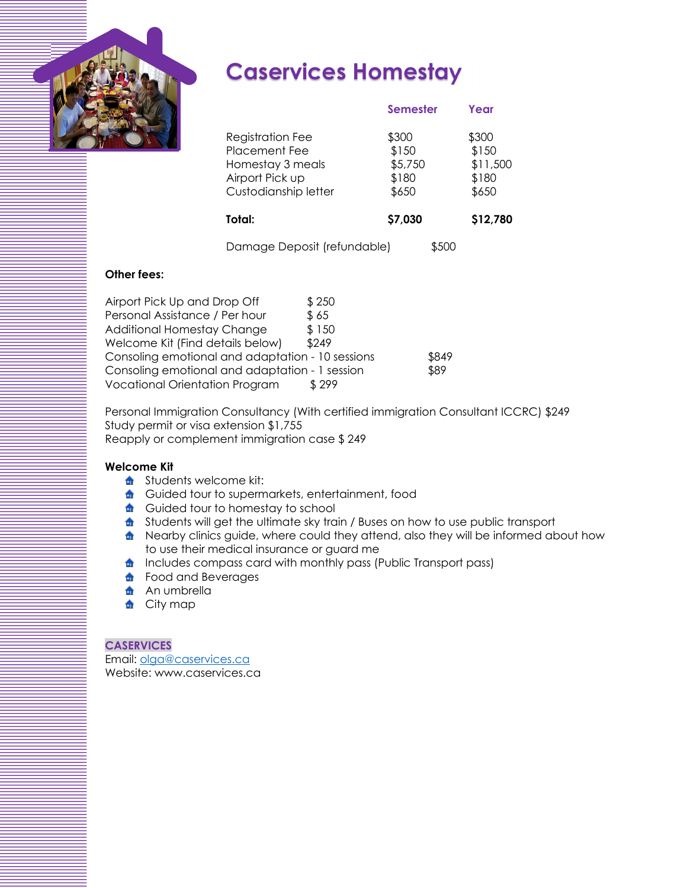

# **Caservices Homestay**

|                                                                                                                | <b>Semester</b>                             | Year                                         |
|----------------------------------------------------------------------------------------------------------------|---------------------------------------------|----------------------------------------------|
| <b>Registration Fee</b><br><b>Placement Fee</b><br>Homestay 3 meals<br>Airport Pick up<br>Custodianship letter | \$300<br>\$150<br>\$5,750<br>\$180<br>\$650 | \$300<br>\$150<br>\$11,500<br>\$180<br>\$650 |
| Total:                                                                                                         | \$7,030                                     | \$12,780                                     |
| Damage Deposit (refundable)                                                                                    | \$500                                       |                                              |

# **Other fees:**

| Airport Pick Up and Drop Off                     | \$250 |       |
|--------------------------------------------------|-------|-------|
| Personal Assistance / Per hour                   | \$65  |       |
| <b>Additional Homestay Change</b>                | \$150 |       |
| Welcome Kit (Find details below)                 | \$249 |       |
| Consoling emotional and adaptation - 10 sessions |       | \$849 |
| Consoling emotional and adaptation - 1 session   |       | \$89  |
| <b>Vocational Orientation Program</b>            | \$299 |       |

Personal Immigration Consultancy (With certified immigration Consultant ICCRC) \$249 Study permit or visa extension \$1,755 Reapply or complement immigration case \$ 249

# **Welcome Kit**

- **f** Students welcome kit:
- **form** Guided tour to supermarkets, entertainment, food
- **Guided tour to homestay to school**
- **for** Students will get the ultimate sky train / Buses on how to use public transport
- **n** Nearby clinics guide, where could they attend, also they will be informed about how to use their medical insurance or guard me
- **f** Includes compass card with monthly pass (Public Transport pass)
- **food and Beverages**
- **An** umbrella
- **f** City map

# **CASERVICES**

Email: olga@caservices.ca Website: www.caservices.ca